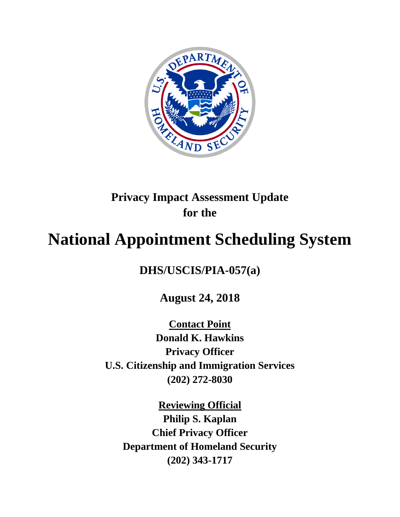

## **Privacy Impact Assessment Update for the**

# **National Appointment Scheduling System**

**DHS/USCIS/PIA-057(a)**

**August 24, 2018**

**Contact Point Donald K. Hawkins Privacy Officer U.S. Citizenship and Immigration Services (202) 272-8030**

**Reviewing Official Philip S. Kaplan Chief Privacy Officer Department of Homeland Security (202) 343-1717**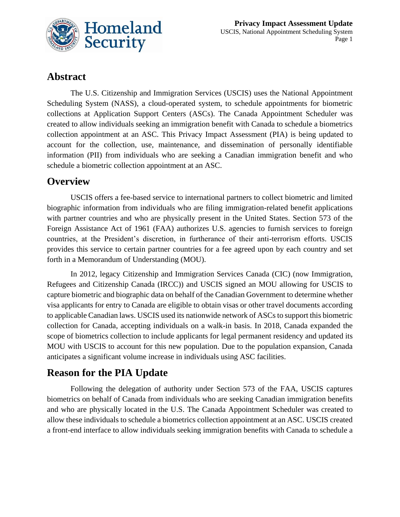

## **Abstract**

The U.S. Citizenship and Immigration Services (USCIS) uses the National Appointment Scheduling System (NASS), a cloud-operated system, to schedule appointments for biometric collections at Application Support Centers (ASCs). The Canada Appointment Scheduler was created to allow individuals seeking an immigration benefit with Canada to schedule a biometrics collection appointment at an ASC. This Privacy Impact Assessment (PIA) is being updated to account for the collection, use, maintenance, and dissemination of personally identifiable information (PII) from individuals who are seeking a Canadian immigration benefit and who schedule a biometric collection appointment at an ASC.

## **Overview**

USCIS offers a fee-based service to international partners to collect biometric and limited biographic information from individuals who are filing immigration-related benefit applications with partner countries and who are physically present in the United States. Section 573 of the Foreign Assistance Act of 1961 (FAA) authorizes U.S. agencies to furnish services to foreign countries, at the President's discretion, in furtherance of their anti-terrorism efforts. USCIS provides this service to certain partner countries for a fee agreed upon by each country and set forth in a Memorandum of Understanding (MOU).

In 2012, legacy Citizenship and Immigration Services Canada (CIC) (now Immigration, Refugees and Citizenship Canada (IRCC)) and USCIS signed an MOU allowing for USCIS to capture biometric and biographic data on behalf of the Canadian Government to determine whether visa applicants for entry to Canada are eligible to obtain visas or other travel documents according to applicable Canadian laws. USCIS used its nationwide network of ASCs to support this biometric collection for Canada, accepting individuals on a walk-in basis. In 2018, Canada expanded the scope of biometrics collection to include applicants for legal permanent residency and updated its MOU with USCIS to account for this new population. Due to the population expansion, Canada anticipates a significant volume increase in individuals using ASC facilities.

## **Reason for the PIA Update**

Following the delegation of authority under Section 573 of the FAA, USCIS captures biometrics on behalf of Canada from individuals who are seeking Canadian immigration benefits and who are physically located in the U.S. The Canada Appointment Scheduler was created to allow these individuals to schedule a biometrics collection appointment at an ASC. USCIS created a front-end interface to allow individuals seeking immigration benefits with Canada to schedule a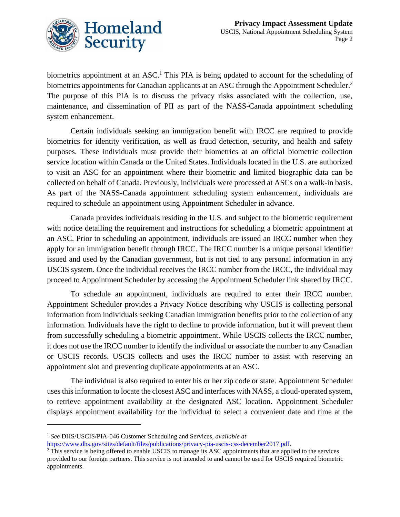

biometrics appointment at an ASC.<sup>1</sup> This PIA is being updated to account for the scheduling of biometrics appointments for Canadian applicants at an ASC through the Appointment Scheduler.<sup>2</sup> The purpose of this PIA is to discuss the privacy risks associated with the collection, use, maintenance, and dissemination of PII as part of the NASS-Canada appointment scheduling system enhancement.

Certain individuals seeking an immigration benefit with IRCC are required to provide biometrics for identity verification, as well as fraud detection, security, and health and safety purposes. These individuals must provide their biometrics at an official biometric collection service location within Canada or the United States. Individuals located in the U.S. are authorized to visit an ASC for an appointment where their biometric and limited biographic data can be collected on behalf of Canada. Previously, individuals were processed at ASCs on a walk-in basis. As part of the NASS-Canada appointment scheduling system enhancement, individuals are required to schedule an appointment using Appointment Scheduler in advance.

Canada provides individuals residing in the U.S. and subject to the biometric requirement with notice detailing the requirement and instructions for scheduling a biometric appointment at an ASC. Prior to scheduling an appointment, individuals are issued an IRCC number when they apply for an immigration benefit through IRCC. The IRCC number is a unique personal identifier issued and used by the Canadian government, but is not tied to any personal information in any USCIS system. Once the individual receives the IRCC number from the IRCC, the individual may proceed to Appointment Scheduler by accessing the Appointment Scheduler link shared by IRCC.

To schedule an appointment, individuals are required to enter their IRCC number. Appointment Scheduler provides a Privacy Notice describing why USCIS is collecting personal information from individuals seeking Canadian immigration benefits prior to the collection of any information. Individuals have the right to decline to provide information, but it will prevent them from successfully scheduling a biometric appointment. While USCIS collects the IRCC number, it does not use the IRCC number to identify the individual or associate the number to any Canadian or USCIS records. USCIS collects and uses the IRCC number to assist with reserving an appointment slot and preventing duplicate appointments at an ASC.

The individual is also required to enter his or her zip code or state. Appointment Scheduler uses this information to locate the closest ASC and interfaces with NASS, a cloud-operated system, to retrieve appointment availability at the designated ASC location. Appointment Scheduler displays appointment availability for the individual to select a convenient date and time at the

 $\overline{a}$ 

[https://www.dhs.gov/sites/default/files/publications/privacy-pia-uscis-css-december2017.pdf.](https://www.dhs.gov/sites/default/files/publications/privacy-pia-uscis-css-december2017.pdf)

<sup>1</sup> *See* DHS/USCIS/PIA-046 Customer Scheduling and Services, *available at*

<sup>&</sup>lt;sup>2</sup> This service is being offered to enable USCIS to manage its ASC appointments that are applied to the services provided to our foreign partners. This service is not intended to and cannot be used for USCIS required biometric appointments.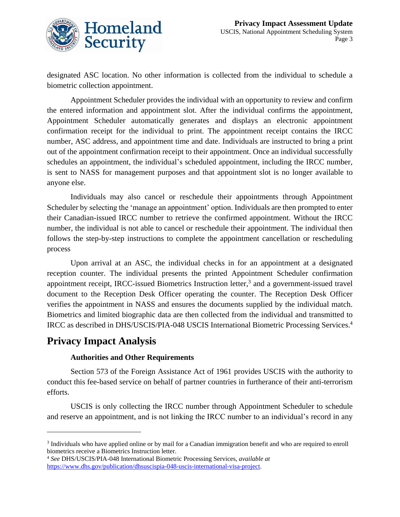

designated ASC location. No other information is collected from the individual to schedule a biometric collection appointment.

Appointment Scheduler provides the individual with an opportunity to review and confirm the entered information and appointment slot. After the individual confirms the appointment, Appointment Scheduler automatically generates and displays an electronic appointment confirmation receipt for the individual to print. The appointment receipt contains the IRCC number, ASC address, and appointment time and date. Individuals are instructed to bring a print out of the appointment confirmation receipt to their appointment. Once an individual successfully schedules an appointment, the individual's scheduled appointment, including the IRCC number, is sent to NASS for management purposes and that appointment slot is no longer available to anyone else.

Individuals may also cancel or reschedule their appointments through Appointment Scheduler by selecting the 'manage an appointment' option. Individuals are then prompted to enter their Canadian-issued IRCC number to retrieve the confirmed appointment. Without the IRCC number, the individual is not able to cancel or reschedule their appointment. The individual then follows the step-by-step instructions to complete the appointment cancellation or rescheduling process

Upon arrival at an ASC, the individual checks in for an appointment at a designated reception counter. The individual presents the printed Appointment Scheduler confirmation appointment receipt, IRCC-issued Biometrics Instruction letter,<sup>3</sup> and a government-issued travel document to the Reception Desk Officer operating the counter. The Reception Desk Officer verifies the appointment in NASS and ensures the documents supplied by the individual match. Biometrics and limited biographic data are then collected from the individual and transmitted to IRCC as described in DHS/USCIS/PIA-048 USCIS International Biometric Processing Services. 4

## **Privacy Impact Analysis**

 $\overline{a}$ 

#### **Authorities and Other Requirements**

Section 573 of the Foreign Assistance Act of 1961 provides USCIS with the authority to conduct this fee-based service on behalf of partner countries in furtherance of their anti-terrorism efforts.

USCIS is only collecting the IRCC number through Appointment Scheduler to schedule and reserve an appointment, and is not linking the IRCC number to an individual's record in any

<sup>&</sup>lt;sup>3</sup> Individuals who have applied online or by mail for a Canadian immigration benefit and who are required to enroll biometrics receive a Biometrics Instruction letter.

<sup>4</sup> *See* DHS/USCIS/PIA-048 International Biometric Processing Services, *available at*  [https://www.dhs.gov/publication/dhsuscispia-048-uscis-international-visa-project.](https://www.dhs.gov/publication/dhsuscispia-048-uscis-international-visa-project)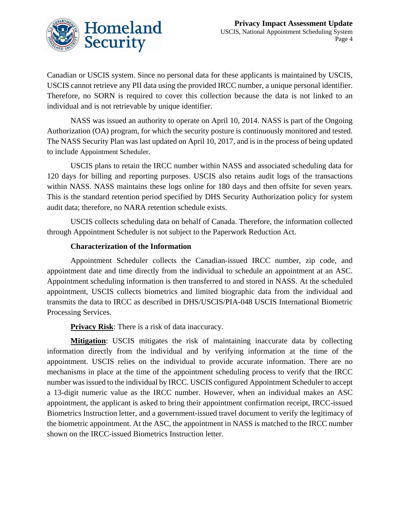

Canadian or USCIS system. Since no personal data for these applicants is maintained by USCIS, USCIS cannot retrieve any PII data using the provided IRCC number, a unique personal identifier. Therefore, no SORN is required to cover this collection because the data is not linked to an individual and is not retrievable by unique identifier.

NASS was issued an authority to operate on April 10, 2014. NASS is part of the Ongoing Authorization (OA) program, for which the security posture is continuously monitored and tested. The NASS Security Plan was last updated on April 10, 2017, and is in the process of being updated to include Appointment Scheduler.

USCIS plans to retain the IRCC number within NASS and associated scheduling data for 120 days for billing and reporting purposes. USCIS also retains audit logs of the transactions within NASS. NASS maintains these logs online for 180 days and then offsite for seven years. This is the standard retention period specified by DHS Security Authorization policy for system audit data; therefore, no NARA retention schedule exists.

USCIS collects scheduling data on behalf of Canada. Therefore, the information collected through Appointment Scheduler is not subject to the Paperwork Reduction Act.

#### **Characterization of the Information**

Appointment Scheduler collects the Canadian-issued IRCC number, zip code, and appointment date and time directly from the individual to schedule an appointment at an ASC. Appointment scheduling information is then transferred to and stored in NASS. At the scheduled appointment, USCIS collects biometrics and limited biographic data from the individual and transmits the data to IRCC as described in DHS/USCIS/PIA-048 USCIS International Biometric Processing Services.

**Privacy Risk**: There is a risk of data inaccuracy.

**Mitigation**: USCIS mitigates the risk of maintaining inaccurate data by collecting information directly from the individual and by verifying information at the time of the appointment. USCIS relies on the individual to provide accurate information. There are no mechanisms in place at the time of the appointment scheduling process to verify that the IRCC number was issued to the individual by IRCC. USCIS configured Appointment Scheduler to accept a 13-digit numeric value as the IRCC number. However, when an individual makes an ASC appointment, the applicant is asked to bring their appointment confirmation receipt, IRCC-issued Biometrics Instruction letter, and a government-issued travel document to verify the legitimacy of the biometric appointment. At the ASC, the appointment in NASS is matched to the IRCC number shown on the IRCC-issued Biometrics Instruction letter.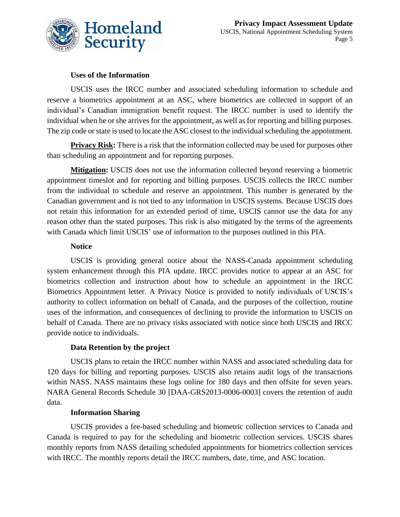

#### **Uses of the Information**

USCIS uses the IRCC number and associated scheduling information to schedule and reserve a biometrics appointment at an ASC, where biometrics are collected in support of an individual's Canadian immigration benefit request. The IRCC number is used to identify the individual when he or she arrives for the appointment, as well as for reporting and billing purposes. The zip code or state is used to locate the ASC closest to the individual scheduling the appointment.

**Privacy Risk:** There is a risk that the information collected may be used for purposes other than scheduling an appointment and for reporting purposes.

**Mitigation:** USCIS does not use the information collected beyond reserving a biometric appointment timeslot and for reporting and billing purposes. USCIS collects the IRCC number from the individual to schedule and reserve an appointment. This number is generated by the Canadian government and is not tied to any information in USCIS systems. Because USCIS does not retain this information for an extended period of time, USCIS cannot use the data for any reason other than the stated purposes. This risk is also mitigated by the terms of the agreements with Canada which limit USCIS' use of information to the purposes outlined in this PIA.

#### **Notice**

USCIS is providing general notice about the NASS-Canada appointment scheduling system enhancement through this PIA update. IRCC provides notice to appear at an ASC for biometrics collection and instruction about how to schedule an appointment in the IRCC Biometrics Appointment letter. A Privacy Notice is provided to notify individuals of USCIS's authority to collect information on behalf of Canada, and the purposes of the collection, routine uses of the information, and consequences of declining to provide the information to USCIS on behalf of Canada. There are no privacy risks associated with notice since both USCIS and IRCC provide notice to individuals.

#### **Data Retention by the project**

USCIS plans to retain the IRCC number within NASS and associated scheduling data for 120 days for billing and reporting purposes. USCIS also retains audit logs of the transactions within NASS. NASS maintains these logs online for 180 days and then offsite for seven years. NARA General Records Schedule 30 [DAA-GRS2013-0006-0003] covers the retention of audit data.

#### **Information Sharing**

USCIS provides a fee-based scheduling and biometric collection services to Canada and Canada is required to pay for the scheduling and biometric collection services. USCIS shares monthly reports from NASS detailing scheduled appointments for biometrics collection services with IRCC. The monthly reports detail the IRCC numbers, date, time, and ASC location.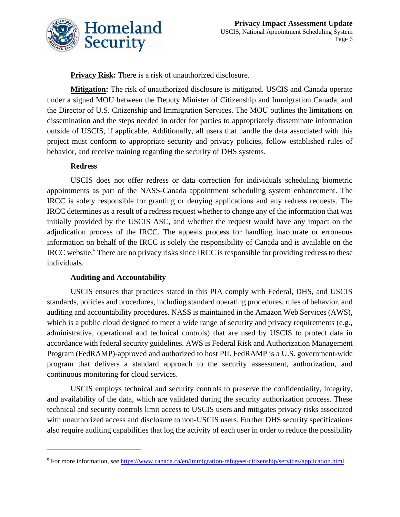

**Privacy Risk:** There is a risk of unauthorized disclosure.

**Mitigation:** The risk of unauthorized disclosure is mitigated. USCIS and Canada operate under a signed MOU between the Deputy Minister of Citizenship and Immigration Canada, and the Director of U.S. Citizenship and Immigration Services. The MOU outlines the limitations on dissemination and the steps needed in order for parties to appropriately disseminate information outside of USCIS, if applicable. Additionally, all users that handle the data associated with this project must conform to appropriate security and privacy policies, follow established rules of behavior, and receive training regarding the security of DHS systems.

#### **Redress**

 $\overline{a}$ 

USCIS does not offer redress or data correction for individuals scheduling biometric appointments as part of the NASS-Canada appointment scheduling system enhancement. The IRCC is solely responsible for granting or denying applications and any redress requests. The IRCC determines as a result of a redress request whether to change any of the information that was initially provided by the USCIS ASC, and whether the request would have any impact on the adjudication process of the IRCC. The appeals process for handling inaccurate or erroneous information on behalf of the IRCC is solely the responsibility of Canada and is available on the IRCC website.<sup>5</sup> There are no privacy risks since IRCC is responsible for providing redress to these individuals.

#### **Auditing and Accountability**

USCIS ensures that practices stated in this PIA comply with Federal, DHS, and USCIS standards, policies and procedures, including standard operating procedures, rules of behavior, and auditing and accountability procedures. NASS is maintained in the Amazon Web Services (AWS), which is a public cloud designed to meet a wide range of security and privacy requirements (e.g., administrative, operational and technical controls) that are used by USCIS to protect data in accordance with federal security guidelines. AWS is Federal Risk and Authorization Management Program (FedRAMP)-approved and authorized to host PII. FedRAMP is a U.S. government-wide program that delivers a standard approach to the security assessment, authorization, and continuous monitoring for cloud services.

USCIS employs technical and security controls to preserve the confidentiality, integrity, and availability of the data, which are validated during the security authorization process. These technical and security controls limit access to USCIS users and mitigates privacy risks associated with unauthorized access and disclosure to non-USCIS users. Further DHS security specifications also require auditing capabilities that log the activity of each user in order to reduce the possibility

<sup>5</sup> For more information, *see* [https://www.canada.ca/en/immigration-refugees-citizenship/services/application.html.](https://www.canada.ca/en/immigration-refugees-citizenship/services/application.html)